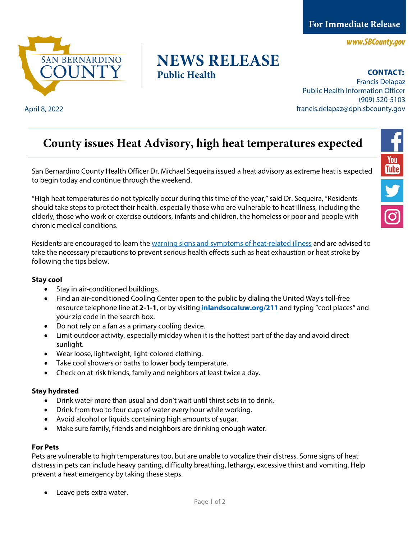**For Immediate Release** 

www.SBCounty.gov



## **NEWS RELEASE Public Health**

**CONTACT:** 

Francis Delapaz Public Health Information Officer (909) 520-5103 April 8, 2022 francis.delapaz@dph.sbcounty.gov

# **County issues Heat Advisory, high heat temperatures expected**

San Bernardino County Health Officer Dr. Michael Sequeira issued a heat advisory as extreme heat is expected to begin today and continue through the weekend.

"High heat temperatures do not typically occur during this time of the year," said Dr. Sequeira, "Residents should take steps to protect their health, especially those who are vulnerable to heat illness, including the elderly, those who work or exercise outdoors, infants and children, the homeless or poor and people with chronic medical conditions.

Residents are encouraged to learn the [warning signs and symptoms of heat-related illness](https://www.cdc.gov/disasters/extremeheat/warning.html) and are advised to take the necessary precautions to prevent serious health effects such as heat exhaustion or heat stroke by following the tips below.

#### **Stay cool**

- Stay in air-conditioned buildings.
- Find an air-conditioned Cooling Center open to the public by dialing the United Way's toll-free resource telephone line at **2-1-1**, or by visiting **[inlandsocaluw.org/211](file://sbcounty.gov/dph/Programs/40_DM/40_DM_MEDIA/Public%20Information%20Officer%20Folder/News%20Release%20-%20Health%20Advisory/inlandsocaluw.org/211)** and typing "cool places" and your zip code in the search box.
- Do not rely on a fan as a primary cooling device.
- Limit outdoor activity, especially midday when it is the hottest part of the day and avoid direct sunlight.
- Wear loose, lightweight, light-colored clothing.
- Take cool showers or baths to lower body temperature.
- Check on at-risk friends, family and neighbors at least twice a day.

#### **Stay hydrated**

- Drink water more than usual and don't wait until thirst sets in to drink.
- Drink from two to four cups of water every hour while working.
- Avoid alcohol or liquids containing high amounts of sugar.
- Make sure family, friends and neighbors are drinking enough water.

### **For Pets**

Pets are vulnerable to high temperatures too, but are unable to vocalize their distress. Some signs of heat distress in pets can include heavy panting, difficulty breathing, lethargy, excessive thirst and vomiting. Help prevent a heat emergency by taking these steps.

• Leave pets extra water.